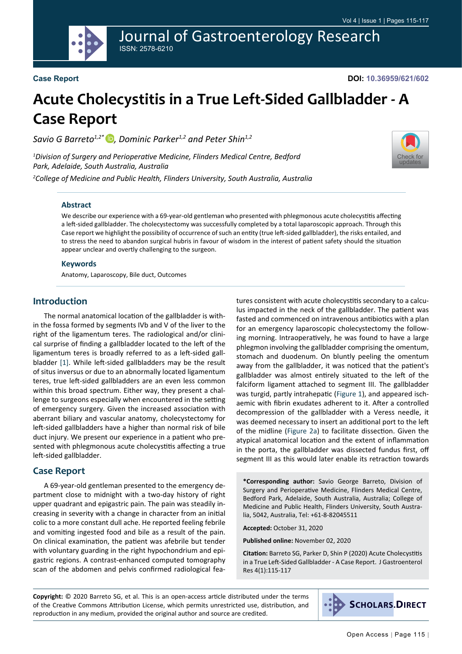Journal of Gastroenterology Research ISSN: 2578-6210

#### **Case Report**

**DOI: 10.36959/621/602**

[Check for](http://crossmark.crossref.org/dialog/?doi=10.36959/621/602&domain=pdf) updates

# **Acute Cholecystitis in a True Left-Sided Gallbladder - A Case Report**

*Savio G Barreto<sup>1,2\*</sup>* **D**, Dominic Parker<sup>1,2</sup> and Peter Shin<sup>1,2</sup>

*1 Division of Surgery and Perioperative Medicine, Flinders Medical Centre, Bedford Park, Adelaide, South Australia, Australia*

*2 College of Medicine and Public Health, Flinders University, South Australia, Australia*



We describe our experience with a 69-year-old gentleman who presented with phlegmonous acute cholecystitis affecting a left-sided gallbladder. The cholecystectomy was successfully completed by a total laparoscopic approach. Through this Case report we highlight the possibility of occurrence of such an entity (true left-sided gallbladder), the risks entailed, and to stress the need to abandon surgical hubris in favour of wisdom in the interest of patient safety should the situation appear unclear and overtly challenging to the surgeon.

#### **Keywords**

Anatomy, Laparoscopy, Bile duct, Outcomes

# **Introduction**

The normal anatomical location of the gallbladder is within the fossa formed by segments IVb and V of the liver to the right of the ligamentum teres. The radiological and/or clinical surprise of finding a gallbladder located to the left of the ligamentum teres is broadly referred to as a left-sided gallbladder [\[1](#page-2-0)]. While left-sided gallbladders may be the result of situs inversus or due to an abnormally located ligamentum teres, true left-sided gallbladders are an even less common within this broad spectrum. Either way, they present a challenge to surgeons especially when encountered in the setting of emergency surgery. Given the increased association with aberrant biliary and vascular anatomy, cholecystectomy for left-sided gallbladders have a higher than normal risk of bile duct injury. We present our experience in a patient who presented with phlegmonous acute cholecystitis affecting a true left-sided gallbladder.

#### **Case Report**

A 69-year-old gentleman presented to the emergency department close to midnight with a two-day history of right upper quadrant and epigastric pain. The pain was steadily increasing in severity with a change in character from an initial colic to a more constant dull ache. He reported feeling febrile and vomiting ingested food and bile as a result of the pain. On clinical examination, the patient was afebrile but tender with voluntary guarding in the right hypochondrium and epigastric regions. A contrast-enhanced computed tomography scan of the abdomen and pelvis confirmed radiological features consistent with acute cholecystitis secondary to a calculus impacted in the neck of the gallbladder. The patient was fasted and commenced on intravenous antibiotics with a plan for an emergency laparoscopic cholecystectomy the following morning. Intraoperatively, he was found to have a large phlegmon involving the gallbladder comprising the omentum, stomach and duodenum. On bluntly peeling the omentum away from the gallbladder, it was noticed that the patient's gallbladder was almost entirely situated to the left of the falciform ligament attached to segment III. The gallbladder was turgid, partly intrahepatic ([Figure 1\)](#page-1-0), and appeared ischaemic with fibrin exudates adherent to it. After a controlled decompression of the gallbladder with a Veress needle, it was deemed necessary to insert an additional port to the left of the midline [\(Figure 2a\)](#page-1-1) to facilitate dissection. Given the atypical anatomical location and the extent of inflammation in the porta, the gallbladder was dissected fundus first, off segment III as this would later enable its retraction towards

**\*Corresponding author:** Savio George Barreto, Division of Surgery and Perioperative Medicine, Flinders Medical Centre, Bedford Park, Adelaide, South Australia, Australia; College of Medicine and Public Health, Flinders University, South Australia, 5042, Australia, Tel: +61-8-82045511

**Accepted:** October 31, 2020

**Published online:** November 02, 2020

**Citation:** Barreto SG, Parker D, Shin P (2020) Acute Cholecystitis in a True Left-Sided Gallbladder - A Case Report. J Gastroenterol Res 4(1):115-117

**Copyright:** © 2020 Barreto SG, et al. This is an open-access article distributed under the terms of the Creative Commons Attribution License, which permits unrestricted use, distribution, and reproduction in any medium, provided the original author and source are credited.

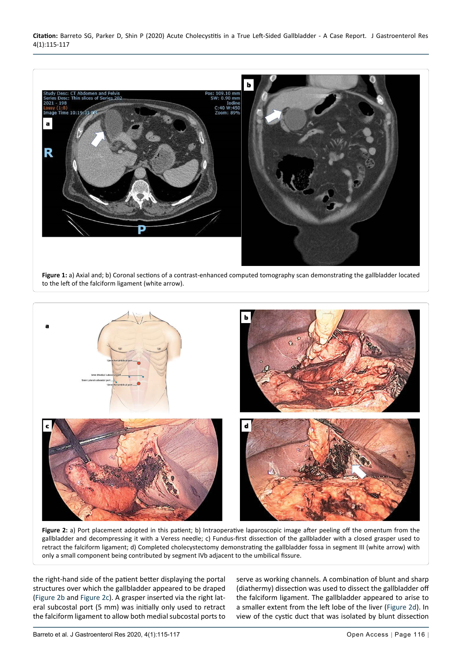**Citation:** Barreto SG, Parker D, Shin P (2020) Acute Cholecystitis in a True Left-Sided Gallbladder - A Case Report. J Gastroenterol Res 4(1):115-117

<span id="page-1-0"></span>

**Figure 1:** a) Axial and; b) Coronal sections of a contrast-enhanced computed tomography scan demonstrating the gallbladder located to the left of the falciform ligament (white arrow).

<span id="page-1-1"></span>

**Figure 2:** a) Port placement adopted in this patient; b) Intraoperative laparoscopic image after peeling off the omentum from the gallbladder and decompressing it with a Veress needle; c) Fundus-first dissection of the gallbladder with a closed grasper used to retract the falciform ligament; d) Completed cholecystectomy demonstrating the gallbladder fossa in segment III (white arrow) with only a small component being contributed by segment IVb adjacent to the umbilical fissure.

the right-hand side of the patient better displaying the portal structures over which the gallbladder appeared to be draped ([Figure 2b](#page-1-1) and [Figure 2c\)](#page-1-1). A grasper inserted via the right lateral subcostal port (5 mm) was initially only used to retract the falciform ligament to allow both medial subcostal ports to

serve as working channels. A combination of blunt and sharp (diathermy) dissection was used to dissect the gallbladder off the falciform ligament. The gallbladder appeared to arise to a smaller extent from the left lobe of the liver ([Figure 2d\)](#page-1-1). In view of the cystic duct that was isolated by blunt dissection